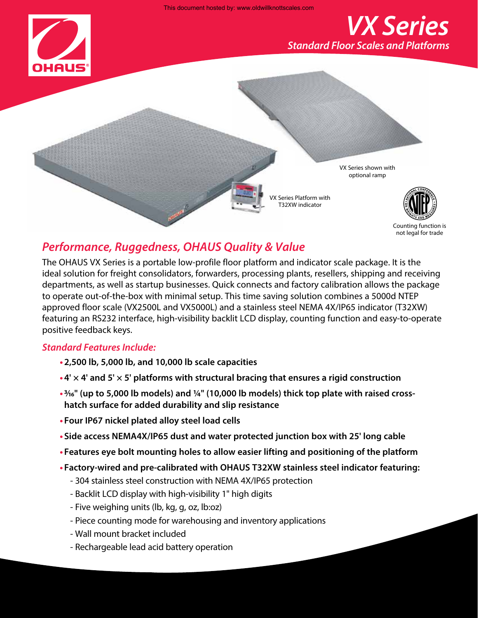This document hosted by: www.oldwillknottscales.com



Counting function is not legal for trade

## *Performance, Ruggedness, OHAUS Quality & Value*

The OHAUS VX Series is a portable low-profile floor platform and indicator scale package. It is the ideal solution for freight consolidators, forwarders, processing plants, resellers, shipping and receiving departments, as well as startup businesses. Quick connects and factory calibration allows the package to operate out-of-the-box with minimal setup. This time saving solution combines a 5000d NTEP approved floor scale (VX2500L and VX5000L) and a stainless steel NEMA 4X/IP65 indicator (T32XW) featuring an RS232 interface, high-visibility backlit LCD display, counting function and easy-to-operate positive feedback keys.

### *Standard Features Include:*

- **• 2,500 lb, 5,000 lb, and 10,000 lb scale capacities**
- **• 4' × 4' and 5' × 5' platforms with structural bracing that ensures a rigid construction**
- **•3/16" (up to 5,000 lb models) and 1/4" (10,000 lb models) thick top plate with raised crosshatch surface for added durability and slip resistance**
- **• Four IP67 nickel plated alloy steel load cells**
- **• Side access NEMA4X/IP65 dust and water protected junction box with 25' long cable**
- **• Features eye bolt mounting holes to allow easier lifting and positioning of the platform**
- **• Factory-wired and pre-calibrated with OHAUS T32XW stainless steel indicator featuring:**
	- 304 stainless steel construction with NEMA 4X/IP65 protection
	- Backlit LCD display with high-visibility 1" high digits
	- Five weighing units (lb, kg, g, oz, lb:oz)
	- Piece counting mode for warehousing and inventory applications
	- Wall mount bracket included
	- Rechargeable lead acid battery operation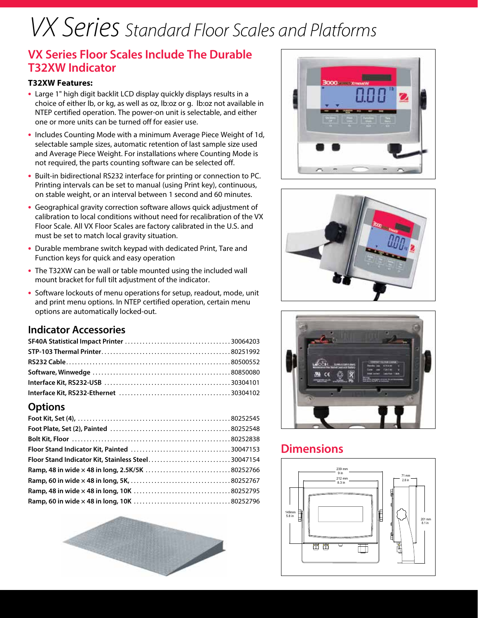# *VX Series Standard Floor Scales and Platforms*

## **VX Series Floor Scales Include The Durable T32XW Indicator**

#### **T32XW Features:**

- **•** Large 1" high digit backlit LCD display quickly displays results in a choice of either lb, or kg, as well as oz, lb:oz or g. lb:oz not available in NTEP certified operation. The power-on unit is selectable, and either one or more units can be turned off for easier use.
- **•** Includes Counting Mode with a minimum Average Piece Weight of 1d, selectable sample sizes, automatic retention of last sample size used and Average Piece Weight. For installations where Counting Mode is not required, the parts counting software can be selected off.
- **•** Built-in bidirectional RS232 interface for printing or connection to PC. Printing intervals can be set to manual (using Print key), continuous, on stable weight, or an interval between 1 second and 60 minutes.
- **•** Geographical gravity correction software allows quick adjustment of calibration to local conditions without need for recalibration of the VX Floor Scale. All VX Floor Scales are factory calibrated in the U.S. and must be set to match local gravity situation.
- **•** Durable membrane switch keypad with dedicated Print, Tare and Function keys for quick and easy operation
- **•** The T32XW can be wall or table mounted using the included wall mount bracket for full tilt adjustment of the indicator.
- **•** Software lockouts of menu operations for setup, readout, mode, unit and print menu options. In NTEP certified operation, certain menu options are automatically locked-out.

## **Indicator Accessories**

## **Options**

| Floor Stand Indicator Kit, Stainless Steel30047154 |  |
|----------------------------------------------------|--|
|                                                    |  |
|                                                    |  |
|                                                    |  |
|                                                    |  |









## **Dimensions**

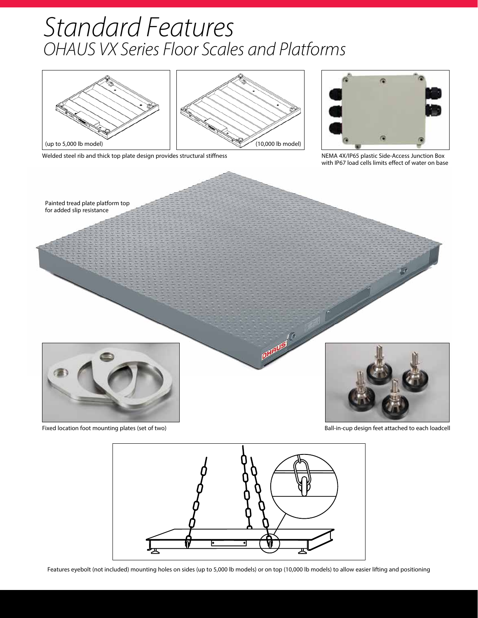## *Standard Features OHAUS VX Series Floor Scales and Platforms*







NEMA 4X/IP65 plastic Side-Access Junction Box with IP67 load cells limits effect of water on base





Features eyebolt (not included) mounting holes on sides (up to 5,000 lb models) or on top (10,000 lb models) to allow easier lifting and positioning